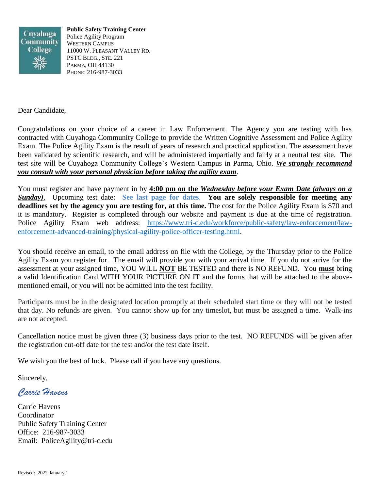

**Public Safety Training Center** Police Agility Program WESTERN CAMPUS 11000 W. PLEASANT VALLEY RD. PSTC BLDG., STE. 221 PARMA, OH 44130 PHONE: 216-987-3033

## Dear Candidate,

Congratulations on your choice of a career in Law Enforcement. The Agency you are testing with has contracted with Cuyahoga Community College to provide the Written Cognitive Assessment and Police Agility Exam. The Police Agility Exam is the result of years of research and practical application. The assessment have been validated by scientific research, and will be administered impartially and fairly at a neutral test site. The test site will be Cuyahoga Community College's Western Campus in Parma, Ohio. *We strongly recommend you consult with your personal physician before taking the agility exam*.

You must register and have payment in by **4:00 pm on the** *Wednesday before your Exam Date (always on a Sunday)*. Upcoming test date: **See last page for dates**. **You are solely responsible for meeting any deadlines set by the agency you are testing for, at this time.** The cost for the Police Agility Exam is \$70 and it is mandatory. Register is completed through our website and payment is due at the time of registration. Police Agility Exam web address: [https://www.tri-c.edu/workforce/public-safety/law-enforcement/law](https://www.tri-c.edu/workforce/public-safety/law-enforcement/law-enforcement-advanced-training/physical-agility-police-officer-testing.html)[enforcement-advanced-training/physical-agility-police-officer-testing.html.](https://www.tri-c.edu/workforce/public-safety/law-enforcement/law-enforcement-advanced-training/physical-agility-police-officer-testing.html)

You should receive an email, to the email address on file with the College, by the Thursday prior to the Police Agility Exam you register for. The email will provide you with your arrival time. If you do not arrive for the assessment at your assigned time, YOU WILL **NOT** BE TESTED and there is NO REFUND. You **must** bring a valid Identification Card WITH YOUR PICTURE ON IT and the forms that will be attached to the abovementioned email, or you will not be admitted into the test facility.

Participants must be in the designated location promptly at their scheduled start time or they will not be tested that day. No refunds are given. You cannot show up for any timeslot, but must be assigned a time. Walk-ins are not accepted.

Cancellation notice must be given three (3) business days prior to the test. NO REFUNDS will be given after the registration cut-off date for the test and/or the test date itself.

We wish you the best of luck. Please call if you have any questions.

Sincerely,

*Carrie Havens*

Carrie Havens Coordinator Public Safety Training Center Office: 216-987-3033 Email: PoliceAgility@tri-c.edu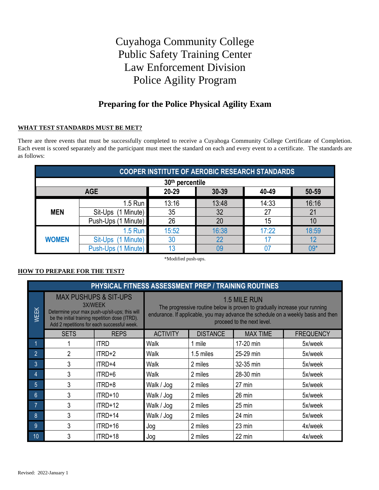# Cuyahoga Community College Public Safety Training Center Law Enforcement Division Police Agility Program

## **Preparing for the Police Physical Agility Exam**

## **WHAT TEST STANDARDS MUST BE MET?**

There are three events that must be successfully completed to receive a Cuyahoga Community College Certificate of Completion. Each event is scored separately and the participant must meet the standard on each and every event to a certificate. The standards are as follows:

| <b>COOPER INSTITUTE OF AEROBIC RESEARCH STANDARDS</b> |                     |       |       |       |       |  |  |
|-------------------------------------------------------|---------------------|-------|-------|-------|-------|--|--|
| 30 <sup>th</sup> percentile                           |                     |       |       |       |       |  |  |
| <b>AGE</b>                                            |                     | 20-29 | 30-39 | 40-49 | 50-59 |  |  |
|                                                       | $1.5$ Run           | 13:16 | 13:48 | 14:33 | 16:16 |  |  |
| <b>MEN</b>                                            | Minute)<br>Sit-Ups  | 35    | 32    | 27    | 21    |  |  |
|                                                       | Push-Ups (1 Minute) | 26    | 20    | 15    | 10    |  |  |
|                                                       | $1.5$ Run           | 15:52 | 16:38 | 17:22 | 18:59 |  |  |
| <b>WOMEN</b>                                          | Sit-Ups (1 Minute)  | 30    | 22    | 17    | 12    |  |  |
|                                                       | Push-Ups (1 Minute) | 13    | 09    | 07    | $09*$ |  |  |

\*Modified push-ups.

#### **HOW TO PREPARE FOR THE TEST?**

| PHYSICAL FITNESS ASSESSMENT PREP / TRAINING ROUTINES |                                                                                                                                                                                                |             |                                                                                                                                                                                                               |                 |                  |                  |
|------------------------------------------------------|------------------------------------------------------------------------------------------------------------------------------------------------------------------------------------------------|-------------|---------------------------------------------------------------------------------------------------------------------------------------------------------------------------------------------------------------|-----------------|------------------|------------------|
| <b>MEEK</b>                                          | <b>MAX PUSHUPS &amp; SIT-UPS</b><br>3X/WEEK<br>Determine your max push-up/sit-ups; this will<br>be the initial training repetition dose (ITRD).<br>Add 2 repetitions for each successful week. |             | 1.5 MILE RUN<br>The progressive routine below is proven to gradually increase your running<br>endurance. If applicable, you may advance the schedule on a weekly basis and then<br>proceed to the next level. |                 |                  |                  |
|                                                      | <b>SETS</b>                                                                                                                                                                                    | <b>REPS</b> | <b>ACTIVITY</b>                                                                                                                                                                                               | <b>DISTANCE</b> | <b>MAX TIME</b>  | <b>FREQUENCY</b> |
|                                                      |                                                                                                                                                                                                | <b>ITRD</b> | Walk                                                                                                                                                                                                          | 1 mile          | 17-20 min        | 5x/week          |
| $\overline{2}$                                       | 2                                                                                                                                                                                              | ITRD+2      | Walk                                                                                                                                                                                                          | 1.5 miles       | 25-29 min        | 5x/week          |
| 3                                                    | 3                                                                                                                                                                                              | ITRD+4      | Walk                                                                                                                                                                                                          | 2 miles         | 32-35 min        | 5x/week          |
| 4                                                    | 3                                                                                                                                                                                              | ITRD+6      | Walk                                                                                                                                                                                                          | 2 miles         | 28-30 min        | 5x/week          |
| $5\overline{)}$                                      | 3                                                                                                                                                                                              | ITRD+8      | Walk / Jog                                                                                                                                                                                                    | 2 miles         | 27 min           | 5x/week          |
| 6                                                    | 3                                                                                                                                                                                              | ITRD+10     | Walk / Jog                                                                                                                                                                                                    | 2 miles         | 26 min           | 5x/week          |
| $\overline{7}$                                       | 3                                                                                                                                                                                              | ITRD+12     | Walk / Jog                                                                                                                                                                                                    | 2 miles         | $25 \text{ min}$ | 5x/week          |
| 8                                                    | 3                                                                                                                                                                                              | ITRD+14     | Walk / Jog                                                                                                                                                                                                    | 2 miles         | 24 min           | 5x/week          |
| 9                                                    | 3                                                                                                                                                                                              | ITRD+16     | Jog                                                                                                                                                                                                           | 2 miles         | 23 min           | 4x/week          |
| 10                                                   | 3                                                                                                                                                                                              | ITRD+18     | Jog                                                                                                                                                                                                           | 2 miles         | 22 min           | 4x/week          |